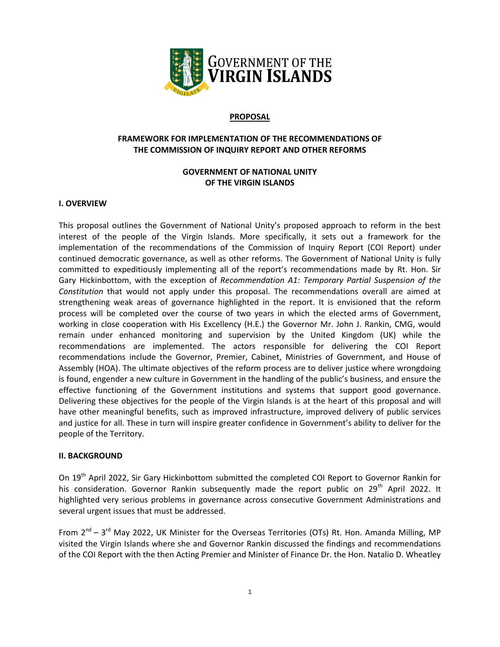

#### **PROPOSAL**

### **FRAMEWORK FOR IMPLEMENTATION OF THE RECOMMENDATIONS OF THE COMMISSION OF INQUIRY REPORT AND OTHER REFORMS**

# **GOVERNMENT OF NATIONAL UNITY OF THE VIRGIN ISLANDS**

### **I. OVERVIEW**

This proposal outlines the Government of National Unity's proposed approach to reform in the best interest of the people of the Virgin Islands. More specifically, it sets out a framework for the implementation of the recommendations of the Commission of Inquiry Report (COI Report) under continued democratic governance, as well as other reforms. The Government of National Unity is fully committed to expeditiously implementing all of the report's recommendations made by Rt. Hon. Sir Gary Hickinbottom, with the exception of *Recommendation A1: Temporary Partial Suspension of the Constitution* that would not apply under this proposal. The recommendations overall are aimed at strengthening weak areas of governance highlighted in the report. It is envisioned that the reform process will be completed over the course of two years in which the elected arms of Government, working in close cooperation with His Excellency (H.E.) the Governor Mr. John J. Rankin, CMG, would remain under enhanced monitoring and supervision by the United Kingdom (UK) while the recommendations are implemented. The actors responsible for delivering the COI Report recommendations include the Governor, Premier, Cabinet, Ministries of Government, and House of Assembly (HOA). The ultimate objectives of the reform process are to deliver justice where wrongdoing is found, engender a new culture in Government in the handling of the public's business, and ensure the effective functioning of the Government institutions and systems that support good governance. Delivering these objectives for the people of the Virgin Islands is at the heart of this proposal and will have other meaningful benefits, such as improved infrastructure, improved delivery of public services and justice for all. These in turn will inspire greater confidence in Government's ability to deliver for the people of the Territory.

#### **II. BACKGROUND**

On 19<sup>th</sup> April 2022, Sir Gary Hickinbottom submitted the completed COI Report to Governor Rankin for his consideration. Governor Rankin subsequently made the report public on  $29<sup>th</sup>$  April 2022. It highlighted very serious problems in governance across consecutive Government Administrations and several urgent issues that must be addressed.

From 2<sup>nd</sup> – 3<sup>rd</sup> May 2022, UK Minister for the Overseas Territories (OTs) Rt. Hon. Amanda Milling, MP visited the Virgin Islands where she and Governor Rankin discussed the findings and recommendations of the COI Report with the then Acting Premier and Minister of Finance Dr. the Hon. Natalio D. Wheatley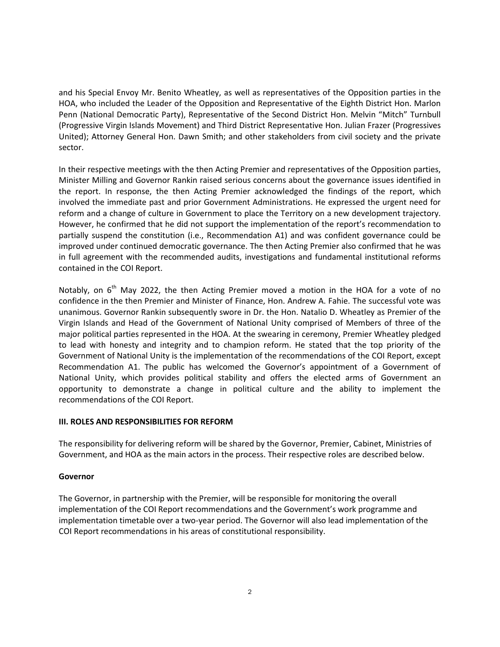and his Special Envoy Mr. Benito Wheatley, as well as representatives of the Opposition parties in the HOA, who included the Leader of the Opposition and Representative of the Eighth District Hon. Marlon Penn (National Democratic Party), Representative of the Second District Hon. Melvin "Mitch" Turnbull (Progressive Virgin Islands Movement) and Third District Representative Hon. Julian Frazer (Progressives United); Attorney General Hon. Dawn Smith; and other stakeholders from civil society and the private sector.

In their respective meetings with the then Acting Premier and representatives of the Opposition parties, Minister Milling and Governor Rankin raised serious concerns about the governance issues identified in the report. In response, the then Acting Premier acknowledged the findings of the report, which involved the immediate past and prior Government Administrations. He expressed the urgent need for reform and a change of culture in Government to place the Territory on a new development trajectory. However, he confirmed that he did not support the implementation of the report's recommendation to partially suspend the constitution (i.e., Recommendation A1) and was confident governance could be improved under continued democratic governance. The then Acting Premier also confirmed that he was in full agreement with the recommended audits, investigations and fundamental institutional reforms contained in the COI Report.

Notably, on  $6<sup>th</sup>$  May 2022, the then Acting Premier moved a motion in the HOA for a vote of no confidence in the then Premier and Minister of Finance, Hon. Andrew A. Fahie. The successful vote was unanimous. Governor Rankin subsequently swore in Dr. the Hon. Natalio D. Wheatley as Premier of the Virgin Islands and Head of the Government of National Unity comprised of Members of three of the major political parties represented in the HOA. At the swearing in ceremony, Premier Wheatley pledged to lead with honesty and integrity and to champion reform. He stated that the top priority of the Government of National Unity is the implementation of the recommendations of the COI Report, except Recommendation A1. The public has welcomed the Governor's appointment of a Government of National Unity, which provides political stability and offers the elected arms of Government an opportunity to demonstrate a change in political culture and the ability to implement the recommendations of the COI Report.

# **III. ROLES AND RESPONSIBILITIES FOR REFORM**

The responsibility for delivering reform will be shared by the Governor, Premier, Cabinet, Ministries of Government, and HOA as the main actors in the process. Their respective roles are described below.

#### **Governor**

The Governor, in partnership with the Premier, will be responsible for monitoring the overall implementation of the COI Report recommendations and the Government's work programme and implementation timetable over a two-year period. The Governor will also lead implementation of the COI Report recommendations in his areas of constitutional responsibility.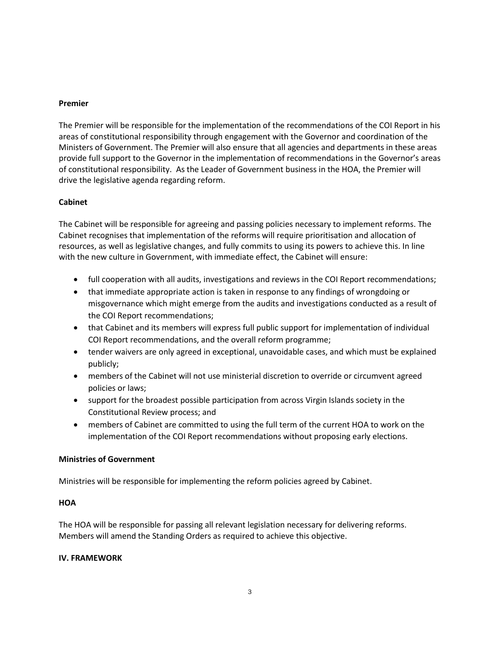### **Premier**

The Premier will be responsible for the implementation of the recommendations of the COI Report in his areas of constitutional responsibility through engagement with the Governor and coordination of the Ministers of Government. The Premier will also ensure that all agencies and departments in these areas provide full support to the Governor in the implementation of recommendations in the Governor's areas of constitutional responsibility. As the Leader of Government business in the HOA, the Premier will drive the legislative agenda regarding reform.

# **Cabinet**

The Cabinet will be responsible for agreeing and passing policies necessary to implement reforms. The Cabinet recognises that implementation of the reforms will require prioritisation and allocation of resources, as well as legislative changes, and fully commits to using its powers to achieve this. In line with the new culture in Government, with immediate effect, the Cabinet will ensure:

- full cooperation with all audits, investigations and reviews in the COI Report recommendations;
- that immediate appropriate action is taken in response to any findings of wrongdoing or misgovernance which might emerge from the audits and investigations conducted as a result of the COI Report recommendations;
- that Cabinet and its members will express full public support for implementation of individual COI Report recommendations, and the overall reform programme;
- tender waivers are only agreed in exceptional, unavoidable cases, and which must be explained publicly;
- members of the Cabinet will not use ministerial discretion to override or circumvent agreed policies or laws;
- support for the broadest possible participation from across Virgin Islands society in the Constitutional Review process; and
- members of Cabinet are committed to using the full term of the current HOA to work on the implementation of the COI Report recommendations without proposing early elections.

# **Ministries of Government**

Ministries will be responsible for implementing the reform policies agreed by Cabinet.

# **HOA**

The HOA will be responsible for passing all relevant legislation necessary for delivering reforms. Members will amend the Standing Orders as required to achieve this objective.

#### **IV. FRAMEWORK**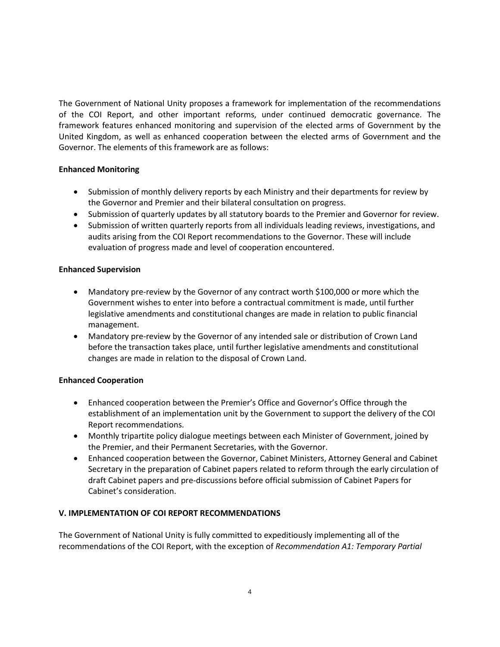The Government of National Unity proposes a framework for implementation of the recommendations of the COI Report, and other important reforms, under continued democratic governance. The framework features enhanced monitoring and supervision of the elected arms of Government by the United Kingdom, as well as enhanced cooperation between the elected arms of Government and the Governor. The elements of this framework are as follows:

# **Enhanced Monitoring**

- Submission of monthly delivery reports by each Ministry and their departments for review by the Governor and Premier and their bilateral consultation on progress.
- Submission of quarterly updates by all statutory boards to the Premier and Governor for review.
- Submission of written quarterly reports from all individuals leading reviews, investigations, and audits arising from the COI Report recommendations to the Governor. These will include evaluation of progress made and level of cooperation encountered.

# **Enhanced Supervision**

- Mandatory pre-review by the Governor of any contract worth \$100,000 or more which the Government wishes to enter into before a contractual commitment is made, until further legislative amendments and constitutional changes are made in relation to public financial management.
- Mandatory pre-review by the Governor of any intended sale or distribution of Crown Land before the transaction takes place, until further legislative amendments and constitutional changes are made in relation to the disposal of Crown Land.

# **Enhanced Cooperation**

- Enhanced cooperation between the Premier's Office and Governor's Office through the establishment of an implementation unit by the Government to support the delivery of the COI Report recommendations.
- Monthly tripartite policy dialogue meetings between each Minister of Government, joined by the Premier, and their Permanent Secretaries, with the Governor.
- Enhanced cooperation between the Governor, Cabinet Ministers, Attorney General and Cabinet Secretary in the preparation of Cabinet papers related to reform through the early circulation of draft Cabinet papers and pre-discussions before official submission of Cabinet Papers for Cabinet's consideration.

# **V. IMPLEMENTATION OF COI REPORT RECOMMENDATIONS**

The Government of National Unity is fully committed to expeditiously implementing all of the recommendations of the COI Report, with the exception of *Recommendation A1: Temporary Partial*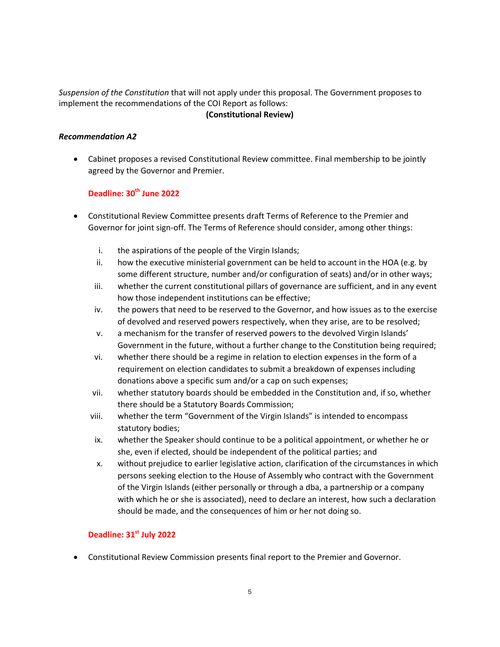# *Suspension of the Constitution* that will not apply under this proposal. The Government proposes to implement the recommendations of the COI Report as follows: **(Constitutional Review)**

### *Recommendation A2*

 Cabinet proposes a revised Constitutional Review committee. Final membership to be jointly agreed by the Governor and Premier.

# **Deadline: 30th June 2022**

- Constitutional Review Committee presents draft Terms of Reference to the Premier and Governor for joint sign-off. The Terms of Reference should consider, among other things:
	- i. the aspirations of the people of the Virgin Islands;
	- ii. how the executive ministerial government can be held to account in the HOA (e.g. by some different structure, number and/or configuration of seats) and/or in other ways;
	- iii. whether the current constitutional pillars of governance are sufficient, and in any event how those independent institutions can be effective;
	- iv. the powers that need to be reserved to the Governor, and how issues as to the exercise of devolved and reserved powers respectively, when they arise, are to be resolved;
	- v. a mechanism for the transfer of reserved powers to the devolved Virgin Islands' Government in the future, without a further change to the Constitution being required;
	- vi. whether there should be a regime in relation to election expenses in the form of a requirement on election candidates to submit a breakdown of expenses including donations above a specific sum and/or a cap on such expenses;
	- vii. whether statutory boards should be embedded in the Constitution and, if so, whether there should be a Statutory Boards Commission;
	- viii. whether the term "Government of the Virgin Islands" is intended to encompass statutory bodies;
	- ix. whether the Speaker should continue to be a political appointment, or whether he or she, even if elected, should be independent of the political parties; and
	- x. without prejudice to earlier legislative action, clarification of the circumstances in which persons seeking election to the House of Assembly who contract with the Government of the Virgin Islands (either personally or through a dba, a partnership or a company with which he or she is associated), need to declare an interest, how such a declaration should be made, and the consequences of him or her not doing so.

# **Deadline: 31st July 2022**

Constitutional Review Commission presents final report to the Premier and Governor.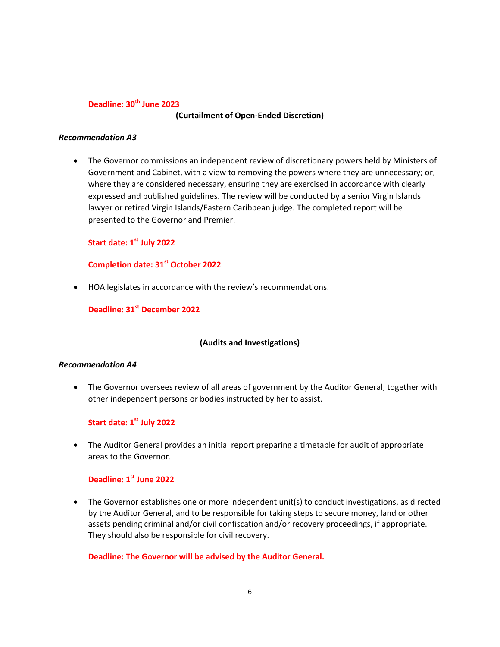#### **Deadline: 30th June 2023**

#### **(Curtailment of Open-Ended Discretion)**

#### *Recommendation A3*

 The Governor commissions an independent review of discretionary powers held by Ministers of Government and Cabinet, with a view to removing the powers where they are unnecessary; or, where they are considered necessary, ensuring they are exercised in accordance with clearly expressed and published guidelines. The review will be conducted by a senior Virgin Islands lawyer or retired Virgin Islands/Eastern Caribbean judge. The completed report will be presented to the Governor and Premier.

# **Start date: 1st July 2022**

# **Completion date: 31st October 2022**

HOA legislates in accordance with the review's recommendations.

**Deadline: 31st December 2022**

#### **(Audits and Investigations)**

#### *Recommendation A4*

 The Governor oversees review of all areas of government by the Auditor General, together with other independent persons or bodies instructed by her to assist.

### **Start date: 1st July 2022**

 The Auditor General provides an initial report preparing a timetable for audit of appropriate areas to the Governor.

# **Deadline: 1 st June 2022**

 The Governor establishes one or more independent unit(s) to conduct investigations, as directed by the Auditor General, and to be responsible for taking steps to secure money, land or other assets pending criminal and/or civil confiscation and/or recovery proceedings, if appropriate. They should also be responsible for civil recovery.

**Deadline: The Governor will be advised by the Auditor General.**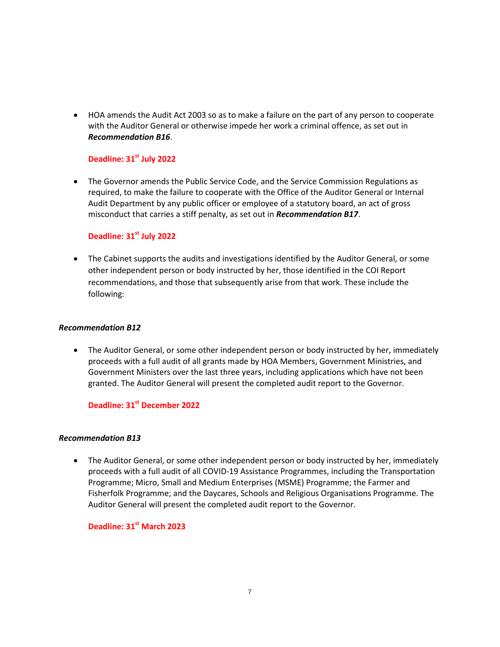HOA amends the Audit Act 2003 so as to make a failure on the part of any person to cooperate with the Auditor General or otherwise impede her work a criminal offence, as set out in *Recommendation B16*.

# **Deadline: 31st July 2022**

 The Governor amends the Public Service Code, and the Service Commission Regulations as required, to make the failure to cooperate with the Office of the Auditor General or Internal Audit Department by any public officer or employee of a statutory board, an act of gross misconduct that carries a stiff penalty, as set out in *Recommendation B17*.

### **Deadline: 31st July 2022**

• The Cabinet supports the audits and investigations identified by the Auditor General, or some other independent person or body instructed by her, those identified in the COI Report recommendations, and those that subsequently arise from that work. These include the following:

#### *Recommendation B12*

• The Auditor General, or some other independent person or body instructed by her, immediately proceeds with a full audit of all grants made by HOA Members, Government Ministries, and Government Ministers over the last three years, including applications which have not been granted. The Auditor General will present the completed audit report to the Governor.

# **Deadline: 31st December 2022**

#### *Recommendation B13*

• The Auditor General, or some other independent person or body instructed by her, immediately proceeds with a full audit of all COVID-19 Assistance Programmes, including the Transportation Programme; Micro, Small and Medium Enterprises (MSME) Programme; the Farmer and Fisherfolk Programme; and the Daycares, Schools and Religious Organisations Programme. The Auditor General will present the completed audit report to the Governor.

# **Deadline: 31st March 2023**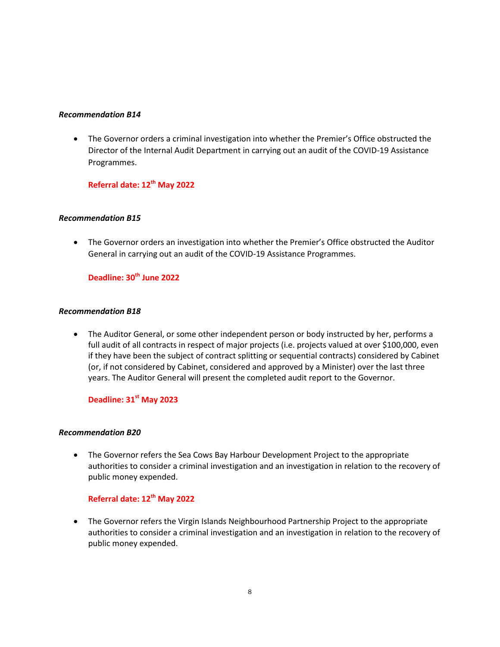#### *Recommendation B14*

• The Governor orders a criminal investigation into whether the Premier's Office obstructed the Director of the Internal Audit Department in carrying out an audit of the COVID-19 Assistance Programmes.

**Referral date: 12th May 2022**

# *Recommendation B15*

• The Governor orders an investigation into whether the Premier's Office obstructed the Auditor General in carrying out an audit of the COVID-19 Assistance Programmes.

# **Deadline: 30th June 2022**

### *Recommendation B18*

 The Auditor General, or some other independent person or body instructed by her, performs a full audit of all contracts in respect of major projects (i.e. projects valued at over \$100,000, even if they have been the subject of contract splitting or sequential contracts) considered by Cabinet (or, if not considered by Cabinet, considered and approved by a Minister) over the last three years. The Auditor General will present the completed audit report to the Governor.

# **Deadline: 31st May 2023**

#### *Recommendation B20*

 The Governor refers the Sea Cows Bay Harbour Development Project to the appropriate authorities to consider a criminal investigation and an investigation in relation to the recovery of public money expended.

# **Referral date: 12th May 2022**

 The Governor refers the Virgin Islands Neighbourhood Partnership Project to the appropriate authorities to consider a criminal investigation and an investigation in relation to the recovery of public money expended.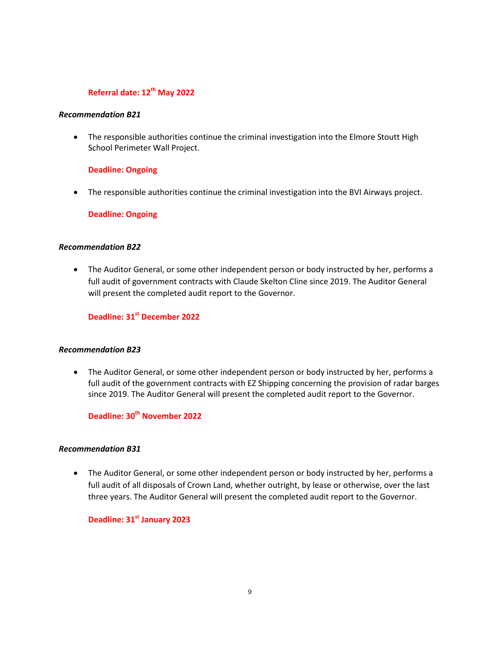# **Referral date: 12th May 2022**

#### *Recommendation B21*

• The responsible authorities continue the criminal investigation into the Elmore Stoutt High School Perimeter Wall Project.

#### **Deadline: Ongoing**

The responsible authorities continue the criminal investigation into the BVI Airways project.

**Deadline: Ongoing**

#### *Recommendation B22*

 The Auditor General, or some other independent person or body instructed by her, performs a full audit of government contracts with Claude Skelton Cline since 2019. The Auditor General will present the completed audit report to the Governor.

# **Deadline: 31st December 2022**

#### *Recommendation B23*

• The Auditor General, or some other independent person or body instructed by her, performs a full audit of the government contracts with EZ Shipping concerning the provision of radar barges since 2019. The Auditor General will present the completed audit report to the Governor.

# **Deadline: 30th November 2022**

### *Recommendation B31*

 The Auditor General, or some other independent person or body instructed by her, performs a full audit of all disposals of Crown Land, whether outright, by lease or otherwise, over the last three years. The Auditor General will present the completed audit report to the Governor.

**Deadline: 31st January 2023**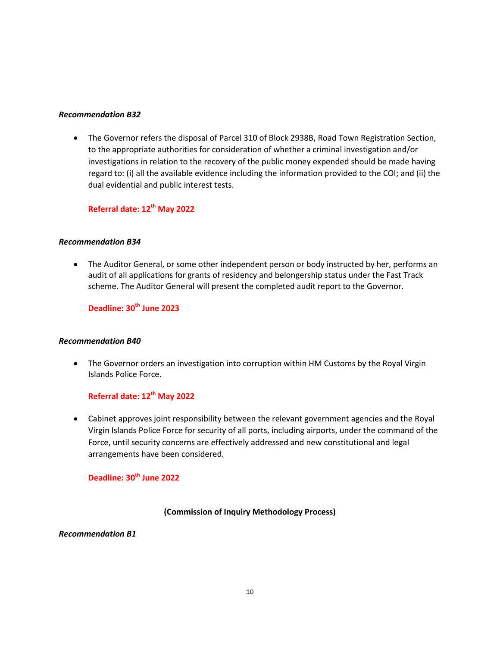#### *Recommendation B32*

 The Governor refers the disposal of Parcel 310 of Block 2938B, Road Town Registration Section, to the appropriate authorities for consideration of whether a criminal investigation and/or investigations in relation to the recovery of the public money expended should be made having regard to: (i) all the available evidence including the information provided to the COI; and (ii) the dual evidential and public interest tests.

# **Referral date: 12th May 2022**

#### *Recommendation B34*

• The Auditor General, or some other independent person or body instructed by her, performs an audit of all applications for grants of residency and belongership status under the Fast Track scheme. The Auditor General will present the completed audit report to the Governor.

# **Deadline: 30th June 2023**

#### *Recommendation B40*

 The Governor orders an investigation into corruption within HM Customs by the Royal Virgin Islands Police Force.

# **Referral date: 12th May 2022**

 Cabinet approves joint responsibility between the relevant government agencies and the Royal Virgin Islands Police Force for security of all ports, including airports, under the command of the Force, until security concerns are effectively addressed and new constitutional and legal arrangements have been considered.

# **Deadline: 30 th June 2022**

#### **(Commission of Inquiry Methodology Process)**

#### *Recommendation B1*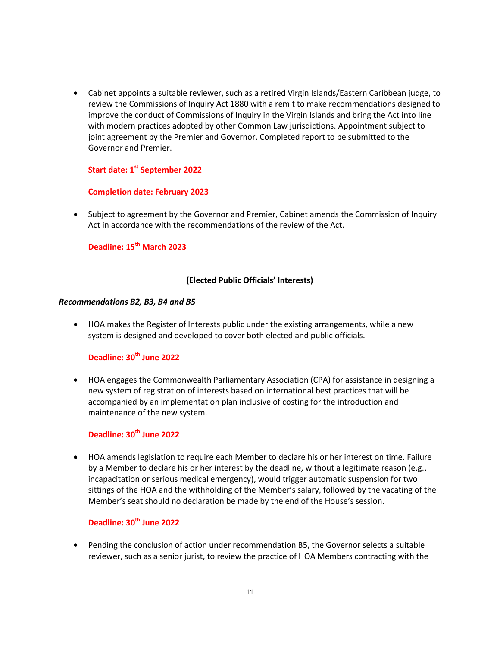Cabinet appoints a suitable reviewer, such as a retired Virgin Islands/Eastern Caribbean judge, to review the Commissions of Inquiry Act 1880 with a remit to make recommendations designed to improve the conduct of Commissions of Inquiry in the Virgin Islands and bring the Act into line with modern practices adopted by other Common Law jurisdictions. Appointment subject to joint agreement by the Premier and Governor. Completed report to be submitted to the Governor and Premier.

# **Start date: 1st September 2022**

#### **Completion date: February 2023**

• Subject to agreement by the Governor and Premier, Cabinet amends the Commission of Inquiry Act in accordance with the recommendations of the review of the Act.

# **Deadline: 15th March 2023**

#### **(Elected Public Officials' Interests)**

#### *Recommendations B2, B3, B4 and B5*

 HOA makes the Register of Interests public under the existing arrangements, while a new system is designed and developed to cover both elected and public officials.

# **Deadline: 30th June 2022**

 HOA engages the Commonwealth Parliamentary Association (CPA) for assistance in designing a new system of registration of interests based on international best practices that will be accompanied by an implementation plan inclusive of costing for the introduction and maintenance of the new system.

# **Deadline: 30 th June 2022**

 HOA amends legislation to require each Member to declare his or her interest on time. Failure by a Member to declare his or her interest by the deadline, without a legitimate reason (e.g., incapacitation or serious medical emergency), would trigger automatic suspension for two sittings of the HOA and the withholding of the Member's salary, followed by the vacating of the Member's seat should no declaration be made by the end of the House's session.

# **Deadline: 30th June 2022**

 Pending the conclusion of action under recommendation B5, the Governor selects a suitable reviewer, such as a senior jurist, to review the practice of HOA Members contracting with the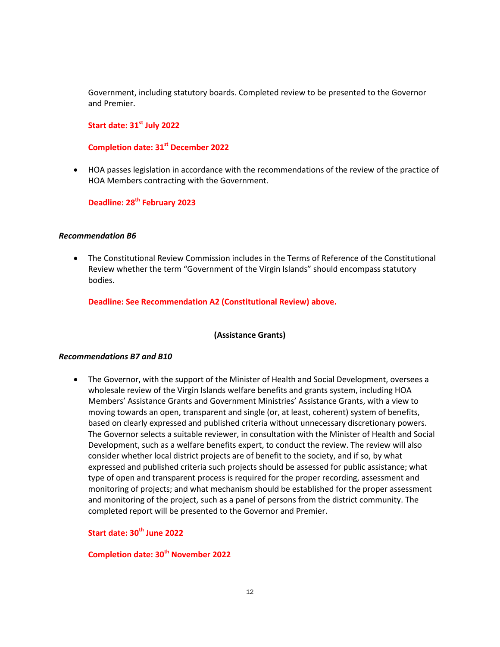Government, including statutory boards. Completed review to be presented to the Governor and Premier.

# **Start date: 31 st July 2022**

#### **Completion date: 31st December 2022**

 HOA passes legislation in accordance with the recommendations of the review of the practice of HOA Members contracting with the Government.

**Deadline: 28th February 2023**

#### *Recommendation B6*

 The Constitutional Review Commission includes in the Terms of Reference of the Constitutional Review whether the term "Government of the Virgin Islands" should encompass statutory bodies.

**Deadline: See Recommendation A2 (Constitutional Review) above.**

#### **(Assistance Grants)**

#### *Recommendations B7 and B10*

 The Governor, with the support of the Minister of Health and Social Development, oversees a wholesale review of the Virgin Islands welfare benefits and grants system, including HOA Members' Assistance Grants and Government Ministries' Assistance Grants, with a view to moving towards an open, transparent and single (or, at least, coherent) system of benefits, based on clearly expressed and published criteria without unnecessary discretionary powers. The Governor selects a suitable reviewer, in consultation with the Minister of Health and Social Development, such as a welfare benefits expert, to conduct the review. The review will also consider whether local district projects are of benefit to the society, and if so, by what expressed and published criteria such projects should be assessed for public assistance; what type of open and transparent process is required for the proper recording, assessment and monitoring of projects; and what mechanism should be established for the proper assessment and monitoring of the project, such as a panel of persons from the district community. The completed report will be presented to the Governor and Premier.

# **Start date: 30th June 2022**

# **Completion date: 30th November 2022**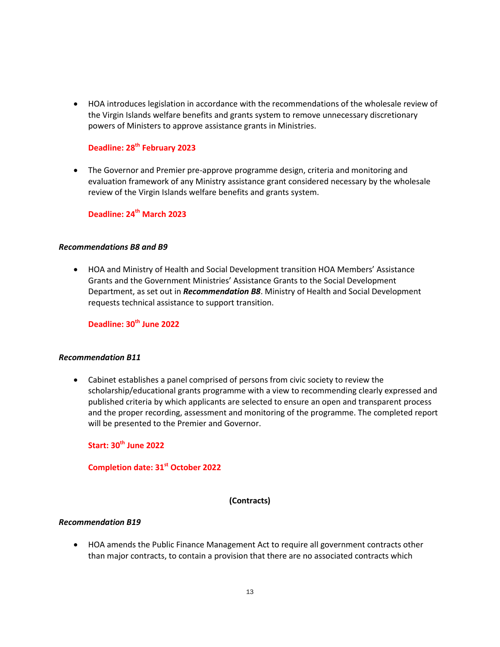HOA introduces legislation in accordance with the recommendations of the wholesale review of the Virgin Islands welfare benefits and grants system to remove unnecessary discretionary powers of Ministers to approve assistance grants in Ministries.

# **Deadline: 28th February 2023**

 The Governor and Premier pre-approve programme design, criteria and monitoring and evaluation framework of any Ministry assistance grant considered necessary by the wholesale review of the Virgin Islands welfare benefits and grants system.

# **Deadline: 24th March 2023**

#### *Recommendations B8 and B9*

 HOA and Ministry of Health and Social Development transition HOA Members' Assistance Grants and the Government Ministries' Assistance Grants to the Social Development Department, as set out in *Recommendation B8*. Ministry of Health and Social Development requests technical assistance to support transition.

**Deadline: 30th June 2022**

#### *Recommendation B11*

 Cabinet establishes a panel comprised of persons from civic society to review the scholarship/educational grants programme with a view to recommending clearly expressed and published criteria by which applicants are selected to ensure an open and transparent process and the proper recording, assessment and monitoring of the programme. The completed report will be presented to the Premier and Governor.

**Start: 30 th June 2022**

**Completion date: 31st October 2022**

#### **(Contracts)**

#### *Recommendation B19*

 HOA amends the Public Finance Management Act to require all government contracts other than major contracts, to contain a provision that there are no associated contracts which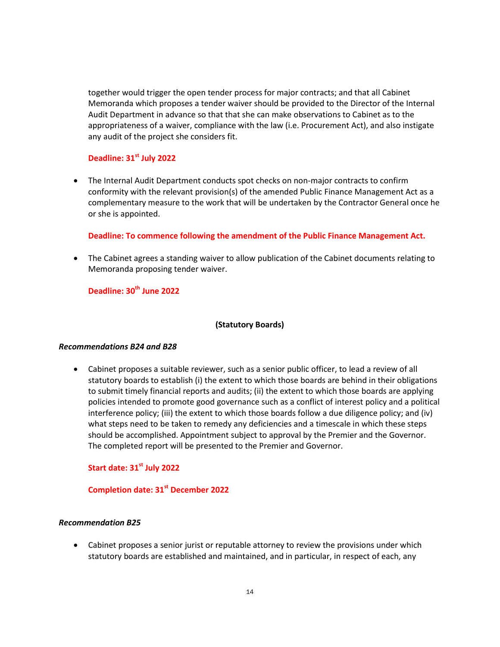together would trigger the open tender process for major contracts; and that all Cabinet Memoranda which proposes a tender waiver should be provided to the Director of the Internal Audit Department in advance so that that she can make observations to Cabinet as to the appropriateness of a waiver, compliance with the law (i.e. Procurement Act), and also instigate any audit of the project she considers fit.

### **Deadline: 31st July 2022**

 The Internal Audit Department conducts spot checks on non-major contracts to confirm conformity with the relevant provision(s) of the amended Public Finance Management Act as a complementary measure to the work that will be undertaken by the Contractor General once he or she is appointed.

**Deadline: To commence following the amendment of the Public Finance Management Act.**

 The Cabinet agrees a standing waiver to allow publication of the Cabinet documents relating to Memoranda proposing tender waiver.

**Deadline: 30th June 2022**

#### **(Statutory Boards)**

#### *Recommendations B24 and B28*

 Cabinet proposes a suitable reviewer, such as a senior public officer, to lead a review of all statutory boards to establish (i) the extent to which those boards are behind in their obligations to submit timely financial reports and audits; (ii) the extent to which those boards are applying policies intended to promote good governance such as a conflict of interest policy and a political interference policy; (iii) the extent to which those boards follow a due diligence policy; and (iv) what steps need to be taken to remedy any deficiencies and a timescale in which these steps should be accomplished. Appointment subject to approval by the Premier and the Governor. The completed report will be presented to the Premier and Governor.

#### **Start date: 31st July 2022**

### **Completion date: 31st December 2022**

#### *Recommendation B25*

 Cabinet proposes a senior jurist or reputable attorney to review the provisions under which statutory boards are established and maintained, and in particular, in respect of each, any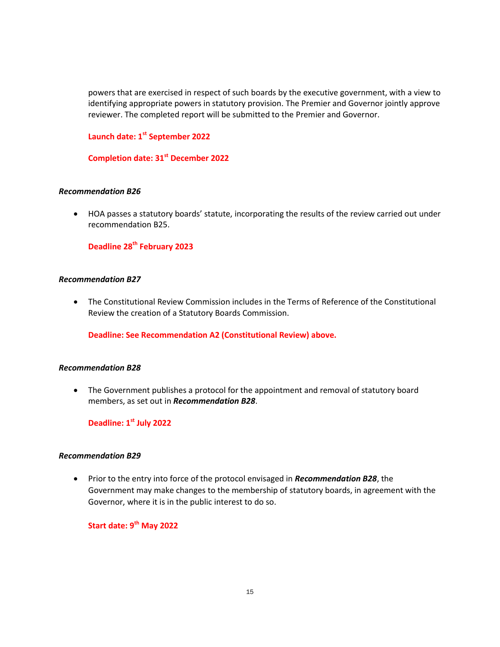powers that are exercised in respect of such boards by the executive government, with a view to identifying appropriate powers in statutory provision. The Premier and Governor jointly approve reviewer. The completed report will be submitted to the Premier and Governor.

# **Launch date: 1st September 2022**

**Completion date: 31st December 2022**

### *Recommendation B26*

 HOA passes a statutory boards' statute, incorporating the results of the review carried out under recommendation B25.

**Deadline 28th February 2023**

#### *Recommendation B27*

 The Constitutional Review Commission includes in the Terms of Reference of the Constitutional Review the creation of a Statutory Boards Commission.

**Deadline: See Recommendation A2 (Constitutional Review) above.**

#### *Recommendation B28*

 The Government publishes a protocol for the appointment and removal of statutory board members, as set out in *Recommendation B28*.

**Deadline: 1st July 2022**

#### *Recommendation B29*

 Prior to the entry into force of the protocol envisaged in *Recommendation B28*, the Government may make changes to the membership of statutory boards, in agreement with the Governor, where it is in the public interest to do so.

**Start date: 9th May 2022**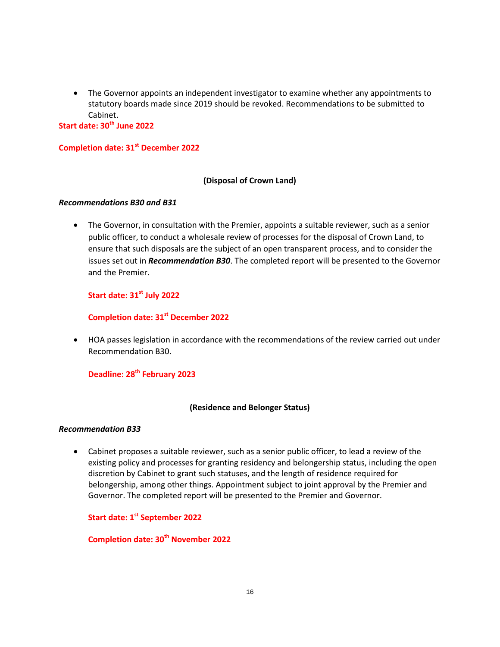The Governor appoints an independent investigator to examine whether any appointments to statutory boards made since 2019 should be revoked. Recommendations to be submitted to Cabinet.

**Start date: 30th June 2022**

# **Completion date: 31st December 2022**

#### **(Disposal of Crown Land)**

#### *Recommendations B30 and B31*

 The Governor, in consultation with the Premier, appoints a suitable reviewer, such as a senior public officer, to conduct a wholesale review of processes for the disposal of Crown Land, to ensure that such disposals are the subject of an open transparent process, and to consider the issues set out in *Recommendation B30*. The completed report will be presented to the Governor and the Premier.

# **Start date: 31st July 2022**

# **Completion date: 31st December 2022**

 HOA passes legislation in accordance with the recommendations of the review carried out under Recommendation B30.

# **Deadline: 28th February 2023**

#### **(Residence and Belonger Status)**

#### *Recommendation B33*

 Cabinet proposes a suitable reviewer, such as a senior public officer, to lead a review of the existing policy and processes for granting residency and belongership status, including the open discretion by Cabinet to grant such statuses, and the length of residence required for belongership, among other things. Appointment subject to joint approval by the Premier and Governor. The completed report will be presented to the Premier and Governor.

### **Start date: 1st September 2022**

# **Completion date: 30 th November 2022**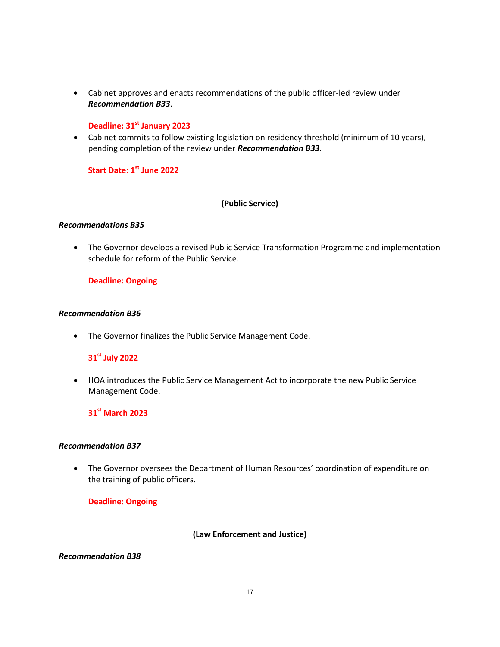Cabinet approves and enacts recommendations of the public officer-led review under *Recommendation B33*.

### **Deadline: 31st January 2023**

 Cabinet commits to follow existing legislation on residency threshold (minimum of 10 years), pending completion of the review under *Recommendation B33*.

# **Start Date: 1st June 2022**

### **(Public Service)**

### *Recommendations B35*

 The Governor develops a revised Public Service Transformation Programme and implementation schedule for reform of the Public Service.

### **Deadline: Ongoing**

#### *Recommendation B36*

The Governor finalizes the Public Service Management Code.

# **31st July 2022**

 HOA introduces the Public Service Management Act to incorporate the new Public Service Management Code.

# **31st March 2023**

#### *Recommendation B37*

 The Governor oversees the Department of Human Resources' coordination of expenditure on the training of public officers.

#### **Deadline: Ongoing**

### **(Law Enforcement and Justice)**

#### *Recommendation B38*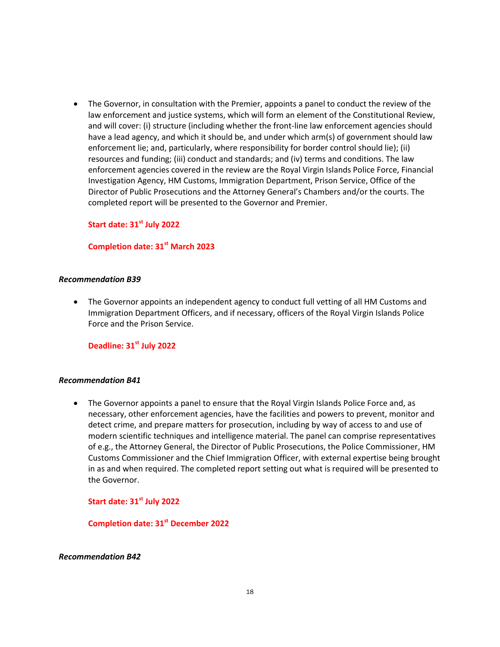The Governor, in consultation with the Premier, appoints a panel to conduct the review of the law enforcement and justice systems, which will form an element of the Constitutional Review, and will cover: (i) structure (including whether the front-line law enforcement agencies should have a lead agency, and which it should be, and under which arm(s) of government should law enforcement lie; and, particularly, where responsibility for border control should lie); (ii) resources and funding; (iii) conduct and standards; and (iv) terms and conditions. The law enforcement agencies covered in the review are the Royal Virgin Islands Police Force, Financial Investigation Agency, HM Customs, Immigration Department, Prison Service, Office of the Director of Public Prosecutions and the Attorney General's Chambers and/or the courts. The completed report will be presented to the Governor and Premier.

**Start date: 31st July 2022**

**Completion date: 31st March 2023**

#### *Recommendation B39*

 The Governor appoints an independent agency to conduct full vetting of all HM Customs and Immigration Department Officers, and if necessary, officers of the Royal Virgin Islands Police Force and the Prison Service.

**Deadline: 31st July 2022**

#### *Recommendation B41*

 The Governor appoints a panel to ensure that the Royal Virgin Islands Police Force and, as necessary, other enforcement agencies, have the facilities and powers to prevent, monitor and detect crime, and prepare matters for prosecution, including by way of access to and use of modern scientific techniques and intelligence material. The panel can comprise representatives of e.g., the Attorney General, the Director of Public Prosecutions, the Police Commissioner, HM Customs Commissioner and the Chief Immigration Officer, with external expertise being brought in as and when required. The completed report setting out what is required will be presented to the Governor.

#### **Start date: 31st July 2022**

**Completion date: 31st December 2022**

#### *Recommendation B42*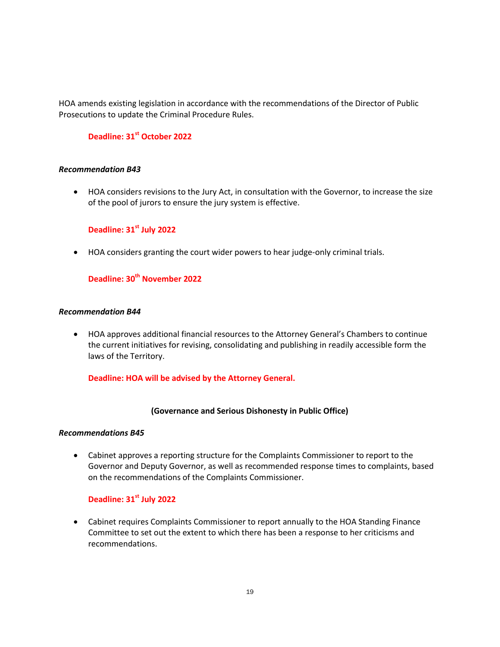HOA amends existing legislation in accordance with the recommendations of the Director of Public Prosecutions to update the Criminal Procedure Rules.

# **Deadline: 31st October 2022**

#### *Recommendation B43*

 HOA considers revisions to the Jury Act, in consultation with the Governor, to increase the size of the pool of jurors to ensure the jury system is effective.

# **Deadline: 31 st July 2022**

HOA considers granting the court wider powers to hear judge-only criminal trials.

# **Deadline: 30 th November 2022**

### *Recommendation B44*

 HOA approves additional financial resources to the Attorney General's Chambers to continue the current initiatives for revising, consolidating and publishing in readily accessible form the laws of the Territory.

### **Deadline: HOA will be advised by the Attorney General.**

#### **(Governance and Serious Dishonesty in Public Office)**

#### *Recommendations B45*

 Cabinet approves a reporting structure for the Complaints Commissioner to report to the Governor and Deputy Governor, as well as recommended response times to complaints, based on the recommendations of the Complaints Commissioner.

# **Deadline: 31st July 2022**

 Cabinet requires Complaints Commissioner to report annually to the HOA Standing Finance Committee to set out the extent to which there has been a response to her criticisms and recommendations.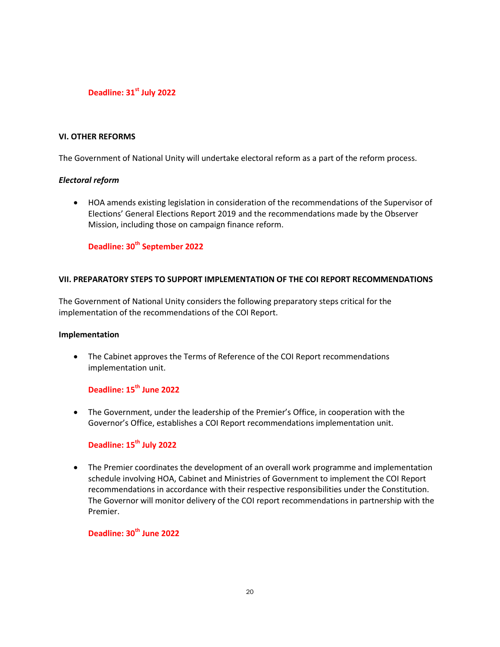### **Deadline: 31st July 2022**

#### **VI. OTHER REFORMS**

The Government of National Unity will undertake electoral reform as a part of the reform process.

### *Electoral reform*

 HOA amends existing legislation in consideration of the recommendations of the Supervisor of Elections' General Elections Report 2019 and the recommendations made by the Observer Mission, including those on campaign finance reform.

### **Deadline: 30th September 2022**

### **VII. PREPARATORY STEPS TO SUPPORT IMPLEMENTATION OF THE COI REPORT RECOMMENDATIONS**

The Government of National Unity considers the following preparatory steps critical for the implementation of the recommendations of the COI Report.

#### **Implementation**

 The Cabinet approves the Terms of Reference of the COI Report recommendations implementation unit.

# **Deadline: 15th June 2022**

 The Government, under the leadership of the Premier's Office, in cooperation with the Governor's Office, establishes a COI Report recommendations implementation unit.

### **Deadline: 15th July 2022**

• The Premier coordinates the development of an overall work programme and implementation schedule involving HOA, Cabinet and Ministries of Government to implement the COI Report recommendations in accordance with their respective responsibilities under the Constitution. The Governor will monitor delivery of the COI report recommendations in partnership with the Premier.

# **Deadline: 30th June 2022**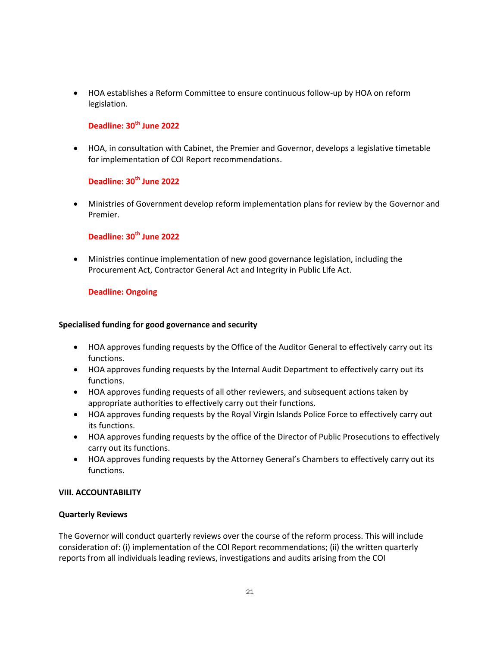HOA establishes a Reform Committee to ensure continuous follow-up by HOA on reform legislation.

# **Deadline: 30th June 2022**

 HOA, in consultation with Cabinet, the Premier and Governor, develops a legislative timetable for implementation of COI Report recommendations.

# **Deadline: 30th June 2022**

 Ministries of Government develop reform implementation plans for review by the Governor and Premier.

# **Deadline: 30th June 2022**

 Ministries continue implementation of new good governance legislation, including the Procurement Act, Contractor General Act and Integrity in Public Life Act.

# **Deadline: Ongoing**

### **Specialised funding for good governance and security**

- HOA approves funding requests by the Office of the Auditor General to effectively carry out its functions.
- HOA approves funding requests by the Internal Audit Department to effectively carry out its functions.
- HOA approves funding requests of all other reviewers, and subsequent actions taken by appropriate authorities to effectively carry out their functions.
- HOA approves funding requests by the Royal Virgin Islands Police Force to effectively carry out its functions.
- HOA approves funding requests by the office of the Director of Public Prosecutions to effectively carry out its functions.
- HOA approves funding requests by the Attorney General's Chambers to effectively carry out its functions.

# **VIII. ACCOUNTABILITY**

#### **Quarterly Reviews**

The Governor will conduct quarterly reviews over the course of the reform process. This will include consideration of: (i) implementation of the COI Report recommendations; (ii) the written quarterly reports from all individuals leading reviews, investigations and audits arising from the COI